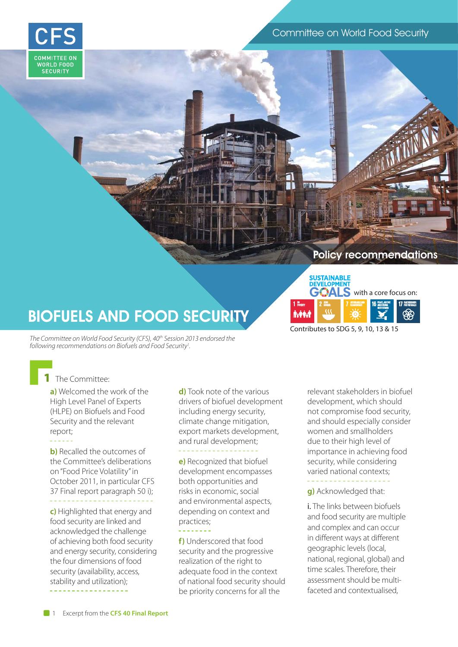#### Committee on World Food Security



# Policy recommendations

with a core focus on:

## BIOFUELS AND FOOD SECURITY

The Committee on World Food Security (CFS), 40<sup>th</sup> Session 2013 endorsed the *following recommendations on Biofuels and Food Security1 .*

The Committee:

**a)** Welcomed the work of the High Level Panel of Experts (HLPE) on Biofuels and Food Security and the relevant report;

**b)** Recalled the outcomes of the Committee's deliberations on "Food Price Volatility" in October 2011, in particular CFS 37 Final report paragraph 50 i);

**c**) Highlighted that energy and food security are linked and acknowledged the challenge of achieving both food security and energy security, considering the four dimensions of food security (availability, access, stability and utilization);

**d)** Took note of the various drivers of biofuel development including energy security, climate change mitigation, export markets development, and rural development;

**e)** Recognized that biofuel development encompasses both opportunities and risks in economic, social and environmental aspects, depending on context and practices;

**f)** Underscored that food security and the progressive realization of the right to adequate food in the context of national food security should be priority concerns for all the

relevant stakeholders in biofuel development, which should not compromise food security, and should especially consider women and smallholders due to their high level of importance in achieving food security, while considering varied national contexts;

**AFFORDABLE AND CLEAN ENERGY**

**HUNGER PEACE, JUSTICE AND STRONG INSTITUTIONS ROUGHLY RESERVED BY ARTICLE AND THE GOVERNMENT CLEANED BRIDGE IN ANDISTRONG THE GOVERNMENT OF PARTNERSHIPS** 

Contributes to SDG 5, 9, 10, 13 & 15

**SUSTAINABLE**<br>DEVELOPMENT '}ΔI

**POVERTY**

İvit

**g)** Acknowledged that:

i. The links between biofuels and food security are multiple and complex and can occur in different ways at different geographic levels (local, national, regional, global) and time scales. Therefore, their assessment should be multifaceted and contextualised,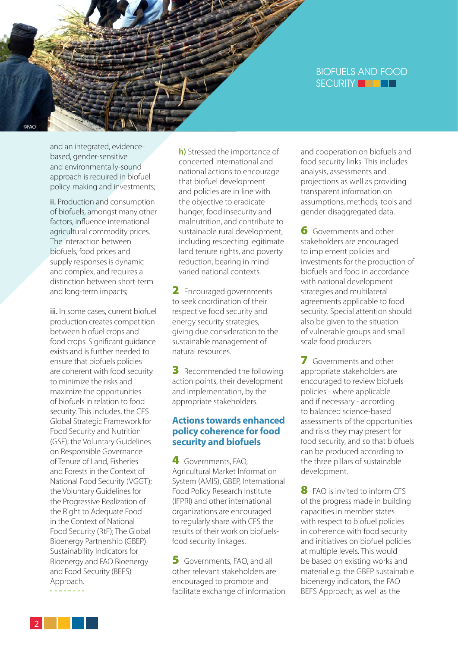#### BIOFUELS AND FOOD SECURITY **THEFT**

and an integrated, evidencebased, gender-sensitive and environmentally-sound approach is required in biofuel policy-making and investments;

©FAO

ii. Production and consumption of biofuels, amongst many other factors, influence international agricultural commodity prices. The interaction between biofuels, food prices and supply responses is dynamic and complex, and requires a distinction between short-term and long-term impacts;

iii. In some cases, current biofuel production creates competition between biofuel crops and food crops. Significant guidance exists and is further needed to ensure that biofuels policies are coherent with food security to minimize the risks and maximize the opportunities of biofuels in relation to food security. This includes, the CFS Global Strategic Framework for Food Security and Nutrition (GSF); the Voluntary Guidelines on Responsible Governance of Tenure of Land, Fisheries and Forests in the Context of National Food Security (VGGT); the Voluntary Guidelines for the Progressive Realization of the Right to Adequate Food in the Context of National Food Security (RtF); The Global Bioenergy Partnership (GBEP) Sustainability Indicators for Bioenergy and FAO Bioenergy and Food Security (BEFS) Approach.

**h)** Stressed the importance of concerted international and national actions to encourage that biofuel development and policies are in line with the objective to eradicate hunger, food insecurity and malnutrition, and contribute to sustainable rural development, including respecting legitimate land tenure rights, and poverty reduction, bearing in mind varied national contexts.

2 Encouraged governments to seek coordination of their respective food security and energy security strategies, giving due consideration to the sustainable management of natural resources.

**3** Recommended the following action points, their development and implementation, by the appropriate stakeholders.

#### **Actions towards enhanced policy coherence for food security and biofuels**

4 Governments, FAO. Agricultural Market Information System (AMIS), GBEP, International Food Policy Research Institute (IFPRI) and other international organizations are encouraged to regularly share with CFS the results of their work on biofuelsfood security linkages.

5 Governments, FAO, and all other relevant stakeholders are encouraged to promote and facilitate exchange of information and cooperation on biofuels and food security links. This includes analysis, assessments and projections as well as providing transparent information on assumptions, methods, tools and gender-disaggregated data.

**6** Governments and other stakeholders are encouraged to implement policies and investments for the production of biofuels and food in accordance with national development strategies and multilateral agreements applicable to food security. Special attention should also be given to the situation of vulnerable groups and small scale food producers.

7 Governments and other appropriate stakeholders are encouraged to review biofuels policies - where applicable and if necessary - according to balanced science-based assessments of the opportunities and risks they may present for food security, and so that biofuels can be produced according to the three pillars of sustainable development.

8 FAO is invited to inform CFS of the progress made in building capacities in member states with respect to biofuel policies in coherence with food security and initiatives on biofuel policies at multiple levels. This would be based on existing works and material e.g. the GBEP sustainable bioenergy indicators, the FAO BEFS Approach; as well as the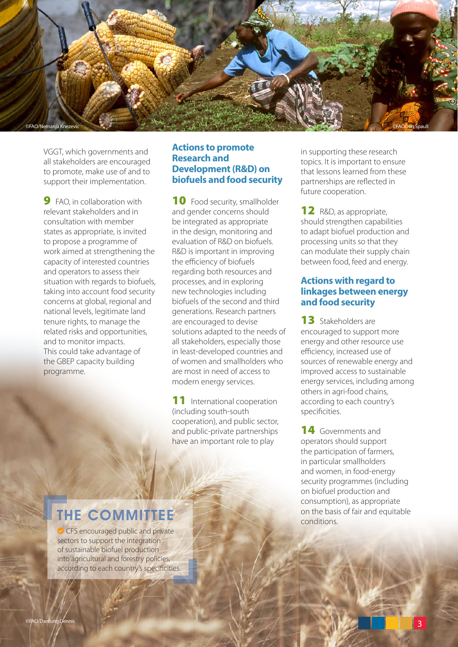

VGGT, which governments and all stakeholders are encouraged to promote, make use of and to support their implementation.

**9** FAO, in collaboration with relevant stakeholders and in consultation with member states as appropriate, is invited to propose a programme of work aimed at strengthening the capacity of interested countries and operators to assess their situation with regards to biofuels, taking into account food security concerns at global, regional and national levels, legitimate land tenure rights, to manage the related risks and opportunities, and to monitor impacts. This could take advantage of the GBEP capacity building programme.

#### **Actions to promote Research and Development (R&D) on biofuels and food security**

10 Food security, smallholder and gender concerns should be integrated as appropriate in the design, monitoring and evaluation of R&D on biofuels. R&D is important in improving the efficiency of biofuels regarding both resources and processes, and in exploring new technologies including biofuels of the second and third generations. Research partners are encouraged to devise solutions adapted to the needs of all stakeholders, especially those in least-developed countries and of women and smallholders who are most in need of access to modern energy services.

11 International cooperation (including south-south cooperation), and public sector, and public-private partnerships have an important role to play

in supporting these research topics. It is important to ensure that lessons learned from these partnerships are reflected in future cooperation.

**12** R&D, as appropriate, should strengthen capabilities to adapt biofuel production and processing units so that they can modulate their supply chain between food, feed and energy.

#### **Actions with regard to linkages between energy and food security**

**13** Stakeholders are encouraged to support more energy and other resource use efficiency, increased use of sources of renewable energy and improved access to sustainable energy services, including among others in agri-food chains, according to each country's specificities.

14 Governments and operators should support the participation of farmers, in particular smallholders and women, in food-energy security programmes (including on biofuel production and consumption), as appropriate on the basis of fair and equitable conditions.

### THE COMMITTEE

**◯** CFS encouraged public and private sectors to support the integration of sustainable biofuel production into agricultural and forestry policies, according to each country's specificities.